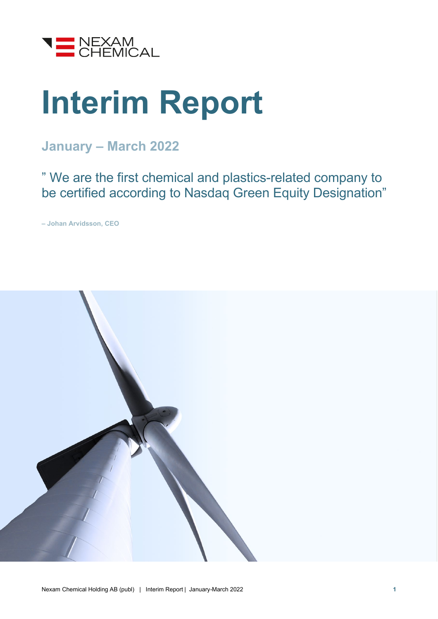

# **Interim Report**

### **January – March 2022**

" We are the first chemical and plastics-related company to be certified according to Nasdaq Green Equity Designation"

**– Johan Arvidsson, CEO**

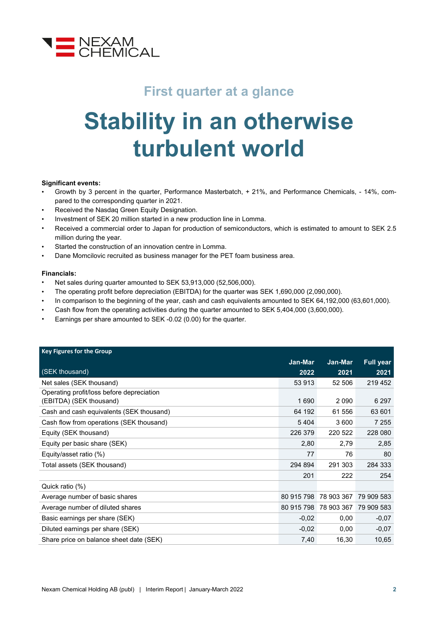

### **First quarter at a glance**

## **Stability in an otherwise turbulent world**

#### **Significant events:**

- Growth by 3 percent in the quarter, Performance Masterbatch, + 21%, and Performance Chemicals, 14%, compared to the corresponding quarter in 2021.
- Received the Nasdaq Green Equity Designation.
- Investment of SEK 20 million started in a new production line in Lomma.
- Received a commercial order to Japan for production of semiconductors, which is estimated to amount to SEK 2.5 million during the year.
- Started the construction of an innovation centre in Lomma.
- Dane Momcilovic recruited as business manager for the PET foam business area.

#### **Financials:**

- Net sales during quarter amounted to SEK 53,913,000 (52,506,000).
- The operating profit before depreciation (EBITDA) for the quarter was SEK 1,690,000 (2,090,000).
- In comparison to the beginning of the year, cash and cash equivalents amounted to SEK 64,192,000 (63,601,000).
- Cash flow from the operating activities during the quarter amounted to SEK 5,404,000 (3,600,000).
- Earnings per share amounted to SEK -0.02 (0.00) for the quarter.

| <b>Key Figures for the Group</b>          |            |            |                  |
|-------------------------------------------|------------|------------|------------------|
|                                           | Jan-Mar    | Jan-Mar    | <b>Full year</b> |
| (SEK thousand)                            | 2022       | 2021       | 2021             |
| Net sales (SEK thousand)                  | 53 913     | 52 506     | 219 452          |
| Operating profit/loss before depreciation |            |            |                  |
| (EBITDA) (SEK thousand)                   | 1690       | 2 0 9 0    | 6 2 9 7          |
| Cash and cash equivalents (SEK thousand)  | 64 192     | 61 556     | 63 601           |
| Cash flow from operations (SEK thousand)  | 5404       | 3 600      | 7 2 5 5          |
| Equity (SEK thousand)                     | 226 379    | 220 522    | 228 080          |
| Equity per basic share (SEK)              | 2,80       | 2,79       | 2,85             |
| Equity/asset ratio (%)                    | 77         | 76         | 80               |
| Total assets (SEK thousand)               | 294 894    | 291 303    | 284 333          |
|                                           | 201        | 222        | 254              |
| Quick ratio (%)                           |            |            |                  |
| Average number of basic shares            | 80 915 798 | 78 903 367 | 79 909 583       |
| Average number of diluted shares          | 80 915 798 | 78 903 367 | 79 909 583       |
| Basic earnings per share (SEK)            | $-0,02$    | 0,00       | $-0,07$          |
| Diluted earnings per share (SEK)          | $-0.02$    | 0,00       | $-0,07$          |
| Share price on balance sheet date (SEK)   | 7,40       | 16,30      | 10,65            |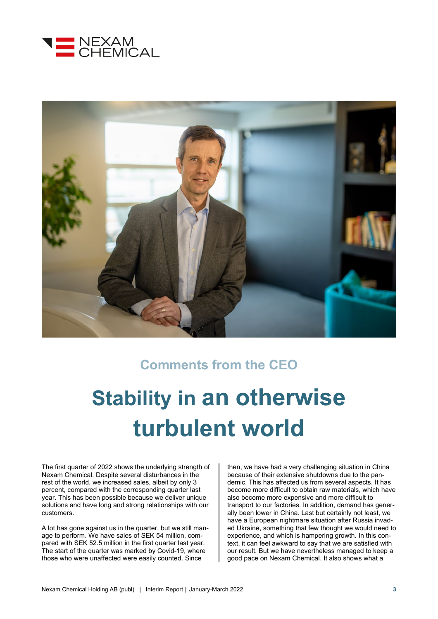



### **Comments from the CEO**

## **Stability in an otherwise turbulent world**

The first quarter of 2022 shows the underlying strength of Nexam Chemical. Despite several disturbances in the rest of the world, we increased sales, albeit by only 3 percent, compared with the corresponding quarter last year. This has been possible because we deliver unique solutions and have long and strong relationships with our customers.

A lot has gone against us in the quarter, but we still manage to perform. We have sales of SEK 54 million, compared with SEK 52.5 million in the first quarter last year. The start of the quarter was marked by Covid-19, where those who were unaffected were easily counted. Since

then, we have had a very challenging situation in China because of their extensive shutdowns due to the pandemic. This has affected us from several aspects. It has become more difficult to obtain raw materials, which have also become more expensive and more difficult to transport to our factories. In addition, demand has generally been lower in China. Last but certainly not least, we have a European nightmare situation after Russia invaded Ukraine, something that few thought we would need to experience, and which is hampering growth. In this context, it can feel awkward to say that we are satisfied with our result. But we have nevertheless managed to keep a good pace on Nexam Chemical. It also shows what a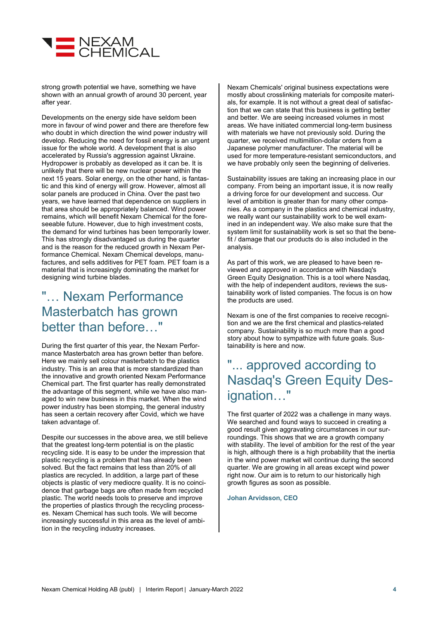

strong growth potential we have, something we have shown with an annual growth of around 30 percent, year after year.

Developments on the energy side have seldom been more in favour of wind power and there are therefore few who doubt in which direction the wind power industry will develop. Reducing the need for fossil energy is an urgent issue for the whole world. A development that is also accelerated by Russia's aggression against Ukraine. Hydropower is probably as developed as it can be. It is unlikely that there will be new nuclear power within the next 15 years. Solar energy, on the other hand, is fantastic and this kind of energy will grow. However, almost all solar panels are produced in China. Over the past two years, we have learned that dependence on suppliers in that area should be appropriately balanced. Wind power remains, which will benefit Nexam Chemical for the foreseeable future. However, due to high investment costs, the demand for wind turbines has been temporarily lower. This has strongly disadvantaged us during the quarter and is the reason for the reduced growth in Nexam Performance Chemical. Nexam Chemical develops, manufactures, and sells additives for PET foam. PET foam is a material that is increasingly dominating the market for designing wind turbine blades.

### "… Nexam Performance Masterbatch has grown better than before…"

During the first quarter of this year, the Nexam Performance Masterbatch area has grown better than before. Here we mainly sell colour masterbatch to the plastics industry. This is an area that is more standardized than the innovative and growth oriented Nexam Performance Chemical part. The first quarter has really demonstrated the advantage of this segment, while we have also managed to win new business in this market. When the wind power industry has been stomping, the general industry has seen a certain recovery after Covid, which we have taken advantage of.

Despite our successes in the above area, we still believe that the greatest long-term potential is on the plastic recycling side. It is easy to be under the impression that plastic recycling is a problem that has already been solved. But the fact remains that less than 20% of all plastics are recycled. In addition, a large part of these objects is plastic of very mediocre quality. It is no coincidence that garbage bags are often made from recycled plastic. The world needs tools to preserve and improve the properties of plastics through the recycling processes. Nexam Chemical has such tools. We will become increasingly successful in this area as the level of ambition in the recycling industry increases.

Nexam Chemicals' original business expectations were mostly about crosslinking materials for composite materials, for example. It is not without a great deal of satisfaction that we can state that this business is getting better and better. We are seeing increased volumes in most areas. We have initiated commercial long-term business with materials we have not previously sold. During the quarter, we received multimillion-dollar orders from a Japanese polymer manufacturer. The material will be used for more temperature-resistant semiconductors, and we have probably only seen the beginning of deliveries.

Sustainability issues are taking an increasing place in our company. From being an important issue, it is now really a driving force for our development and success. Our level of ambition is greater than for many other companies. As a company in the plastics and chemical industry, we really want our sustainability work to be well examined in an independent way. We also make sure that the system limit for sustainability work is set so that the benefit / damage that our products do is also included in the analysis.

As part of this work, we are pleased to have been reviewed and approved in accordance with Nasdaq's Green Equity Designation. This is a tool where Nasdaq, with the help of independent auditors, reviews the sustainability work of listed companies. The focus is on how the products are used.

Nexam is one of the first companies to receive recognition and we are the first chemical and plastics-related company. Sustainability is so much more than a good story about how to sympathize with future goals. Sustainability is here and now.

### "... approved according to Nasdaq's Green Equity Designation…"

The first quarter of 2022 was a challenge in many ways. We searched and found ways to succeed in creating a good result given aggravating circumstances in our surroundings. This shows that we are a growth company with stability. The level of ambition for the rest of the year is high, although there is a high probability that the inertia in the wind power market will continue during the second quarter. We are growing in all areas except wind power right now. Our aim is to return to our historically high growth figures as soon as possible.

**Johan Arvidsson, CEO**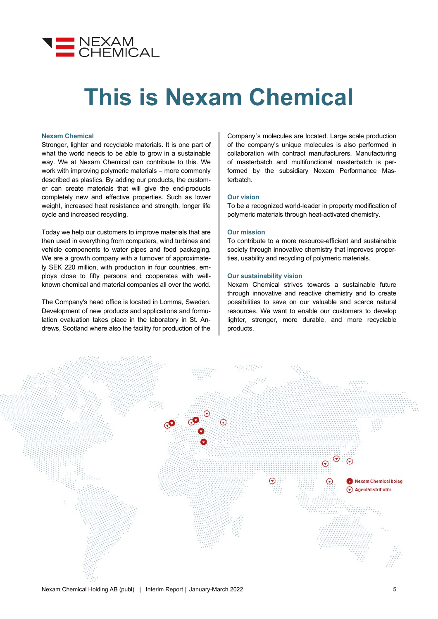

## **This is Nexam Chemical**

#### **Nexam Chemical**

Stronger, lighter and recyclable materials. It is one part of what the world needs to be able to grow in a sustainable way. We at Nexam Chemical can contribute to this. We work with improving polymeric materials – more commonly described as plastics. By adding our products, the customer can create materials that will give the end-products completely new and effective properties. Such as lower weight, increased heat resistance and strength, longer life cycle and increased recycling.

Today we help our customers to improve materials that are then used in everything from computers, wind turbines and vehicle components to water pipes and food packaging. We are a growth company with a turnover of approximately SEK 220 million, with production in four countries, employs close to fifty persons and cooperates with wellknown chemical and material companies all over the world.

The Company's head office is located in Lomma, Sweden. Development of new products and applications and formulation evaluation takes place in the laboratory in St. Andrews, Scotland where also the facility for production of the

Company´s molecules are located. Large scale production of the company's unique molecules is also performed in collaboration with contract manufacturers. Manufacturing of masterbatch and multifunctional masterbatch is performed by the subsidiary Nexam Performance Masterbatch.

#### **Our vision**

To be a recognized world-leader in property modification of polymeric materials through heat-activated chemistry.

#### **Our mission**

To contribute to a more resource-efficient and sustainable society through innovative chemistry that improves properties, usability and recycling of polymeric materials.

#### **Our sustainability vision**

Nexam Chemical strives towards a sustainable future through innovative and reactive chemistry and to create possibilities to save on our valuable and scarce natural resources. We want to enable our customers to develop lighter, stronger, more durable, and more recyclable products.

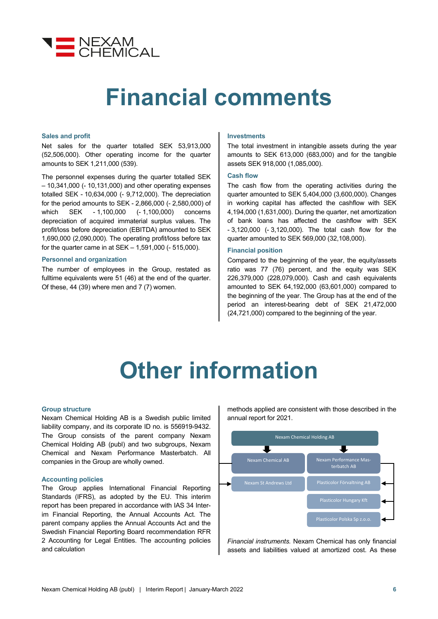

### **Financial comments**

#### **Sales and profit**

Net sales for the quarter totalled SEK 53,913,000 (52,506,000). Other operating income for the quarter amounts to SEK 1,211,000 (539).

The personnel expenses during the quarter totalled SEK – 10,341,000 (- 10,131,000) and other operating expenses totalled SEK - 10,634,000 (- 9,712,000). The depreciation for the period amounts to SEK - 2,866,000 (- 2,580,000) of which SEK - 1,100,000 (- 1,100,000) concerns depreciation of acquired immaterial surplus values. The profit/loss before depreciation (EBITDA) amounted to SEK 1,690,000 (2,090,000). The operating profit/loss before tax for the quarter came in at SEK – 1,591,000 (- 515,000).

#### **Personnel and organization**

The number of employees in the Group, restated as fulltime equivalents were 51 (46) at the end of the quarter. Of these, 44 (39) where men and 7 (7) women.

#### **Investments**

The total investment in intangible assets during the year amounts to SEK 613,000 (683,000) and for the tangible assets SEK 918,000 (1,085,000).

#### **Cash flow**

The cash flow from the operating activities during the quarter amounted to SEK 5,404,000 (3,600,000). Changes in working capital has affected the cashflow with SEK 4,194,000 (1,631,000). During the quarter, net amortization of bank loans has affected the cashflow with SEK - 3,120,000 (- 3,120,000). The total cash flow for the quarter amounted to SEK 569,000 (32,108,000).

#### **Financial position**

Compared to the beginning of the year, the equity/assets ratio was 77 (76) percent, and the equity was SEK 226,379,000 (228,079,000). Cash and cash equivalents amounted to SEK 64,192,000 (63,601,000) compared to the beginning of the year. The Group has at the end of the period an interest-bearing debt of SEK 21,472,000 (24,721,000) compared to the beginning of the year.

## **Other information**

#### **Group structure**

Nexam Chemical Holding AB is a Swedish public limited liability company, and its corporate ID no. is 556919-9432. The Group consists of the parent company Nexam Chemical Holding AB (publ) and two subgroups, Nexam Chemical and Nexam Performance Masterbatch. All companies in the Group are wholly owned.

#### **Accounting policies**

The Group applies International Financial Reporting Standards (IFRS), as adopted by the EU. This interim report has been prepared in accordance with IAS 34 Interim Financial Reporting, the Annual Accounts Act. The parent company applies the Annual Accounts Act and the Swedish Financial Reporting Board recommendation RFR 2 Accounting for Legal Entities. The accounting policies and calculation

methods applied are consistent with those described in the annual report for 2021.



*Financial instruments.* Nexam Chemical has only financial assets and liabilities valued at amortized cost. As these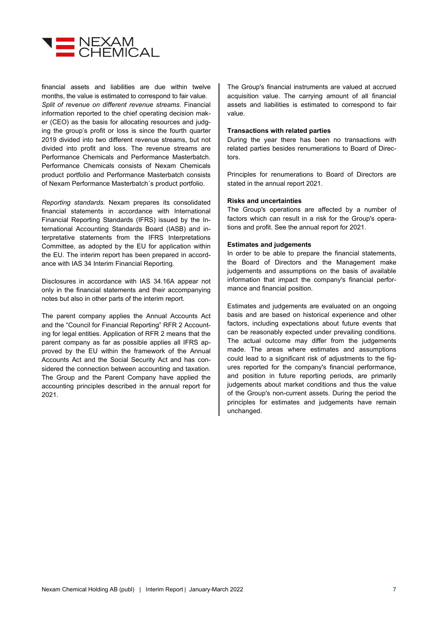

financial assets and liabilities are due within twelve months, the value is estimated to correspond to fair value. *Split of revenue on different revenue streams.* Financial information reported to the chief operating decision maker (CEO) as the basis for allocating resources and judging the group's profit or loss is since the fourth quarter 2019 divided into two different revenue streams, but not divided into profit and loss. The revenue streams are Performance Chemicals and Performance Masterbatch. Performance Chemicals consists of Nexam Chemicals product portfolio and Performance Masterbatch consists of Nexam Performance Masterbatch´s product portfolio.

*Reporting standards.* Nexam prepares its consolidated financial statements in accordance with International Financial Reporting Standards (IFRS) issued by the International Accounting Standards Board (IASB) and interpretative statements from the IFRS Interpretations Committee, as adopted by the EU for application within the EU. The interim report has been prepared in accordance with IAS 34 Interim Financial Reporting.

Disclosures in accordance with IAS 34.16A appear not only in the financial statements and their accompanying notes but also in other parts of the interim report.

The parent company applies the Annual Accounts Act and the "Council for Financial Reporting" RFR 2 Accounting for legal entities. Application of RFR 2 means that the parent company as far as possible applies all IFRS approved by the EU within the framework of the Annual Accounts Act and the Social Security Act and has considered the connection between accounting and taxation. The Group and the Parent Company have applied the accounting principles described in the annual report for 2021.

The Group's financial instruments are valued at accrued acquisition value. The carrying amount of all financial assets and liabilities is estimated to correspond to fair value.

#### **Transactions with related parties**

During the year there has been no transactions with related parties besides renumerations to Board of Directors.

Principles for renumerations to Board of Directors are stated in the annual report 2021.

#### **Risks and uncertainties**

The Group's operations are affected by a number of factors which can result in a risk for the Group's operations and profit. See the annual report for 2021.

#### **Estimates and judgements**

In order to be able to prepare the financial statements, the Board of Directors and the Management make judgements and assumptions on the basis of available information that impact the company's financial performance and financial position.

Estimates and judgements are evaluated on an ongoing basis and are based on historical experience and other factors, including expectations about future events that can be reasonably expected under prevailing conditions. The actual outcome may differ from the judgements made. The areas where estimates and assumptions could lead to a significant risk of adjustments to the figures reported for the company's financial performance, and position in future reporting periods, are primarily judgements about market conditions and thus the value of the Group's non-current assets. During the period the principles for estimates and judgements have remain unchanged.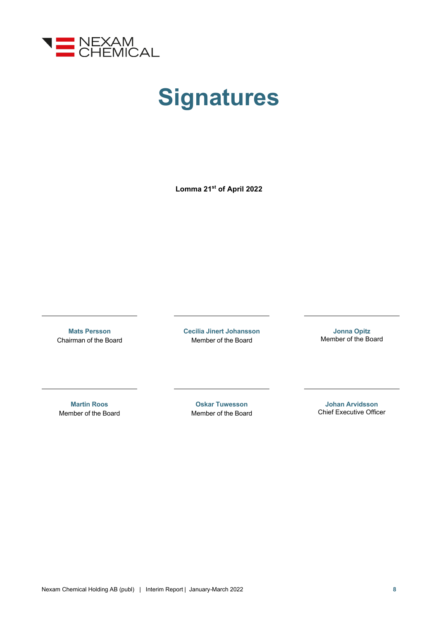

## **Signatures**

**Lomma 21st of April 2022**

**Mats Persson** Chairman of the Board **Cecilia Jinert Johansson** Member of the Board

**Jonna Opitz** Member of the Board

**Martin Roos** Member of the Board

**Oskar Tuwesson** Member of the Board

**Johan Arvidsson** Chief Executive Officer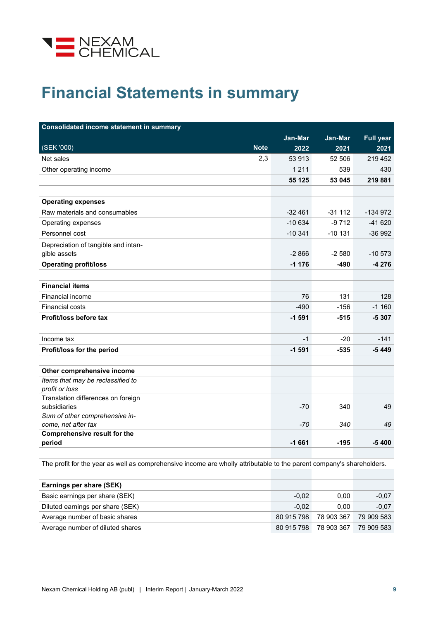

### **Financial Statements in summary**

| <b>Consolidated income statement in summary</b>            |           |           |                  |
|------------------------------------------------------------|-----------|-----------|------------------|
|                                                            | Jan-Mar   | Jan-Mar   | <b>Full year</b> |
| (SEK '000)<br><b>Note</b>                                  | 2022      | 2021      | 2021             |
| 2,3<br>Net sales                                           | 53 913    | 52 506    | 219 452          |
| Other operating income                                     | 1 2 1 1   | 539       | 430              |
|                                                            | 55 125    | 53 045    | 219 881          |
|                                                            |           |           |                  |
| <b>Operating expenses</b>                                  |           |           |                  |
| Raw materials and consumables                              | $-32461$  | $-31112$  | $-134972$        |
| Operating expenses                                         | $-10634$  | $-9712$   | $-41620$         |
| Personnel cost                                             | $-10.341$ | $-10$ 131 | $-36992$         |
| Depreciation of tangible and intan-                        |           |           |                  |
| gible assets                                               | $-2866$   | $-2580$   | $-10573$         |
| <b>Operating profit/loss</b>                               | $-1176$   | -490      | $-4276$          |
|                                                            |           |           |                  |
| <b>Financial items</b>                                     |           |           |                  |
| Financial income                                           | 76        | 131       | 128              |
| <b>Financial costs</b>                                     | -490      | $-156$    | $-1160$          |
| Profit/loss before tax                                     | $-1591$   | $-515$    | $-5307$          |
|                                                            |           |           |                  |
| Income tax                                                 | $-1$      | $-20$     | $-141$           |
| Profit/loss for the period                                 | $-1591$   | $-535$    | $-5449$          |
|                                                            |           |           |                  |
| Other comprehensive income                                 |           |           |                  |
| Items that may be reclassified to                          |           |           |                  |
| profit or loss                                             |           |           |                  |
| Translation differences on foreign                         |           |           |                  |
| subsidiaries                                               | $-70$     | 340       | 49               |
| Sum of other comprehensive in-                             |           |           |                  |
| come, net after tax<br><b>Comprehensive result for the</b> | -70       | 340       | 49               |
| period                                                     | $-1661$   | $-195$    | $-5400$          |
|                                                            |           |           |                  |

The profit for the year as well as comprehensive income are wholly attributable to the parent company's shareholders.

| Earnings per share (SEK)         |            |            |            |
|----------------------------------|------------|------------|------------|
| Basic earnings per share (SEK)   | $-0.02$    | 0.00       | $-0.07$    |
| Diluted earnings per share (SEK) | $-0.02$    | 0.00       | $-0.07$    |
| Average number of basic shares   | 80 915 798 | 78 903 367 | 79 909 583 |
| Average number of diluted shares | 80 915 798 | 78 903 367 | 79 909 583 |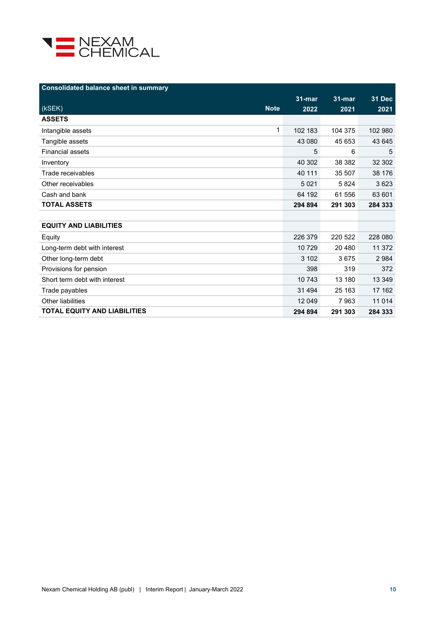

| <b>Consolidated balance sheet in summary</b> |            |            |               |
|----------------------------------------------|------------|------------|---------------|
|                                              | $31 - mar$ | $31 - mar$ | <b>31 Dec</b> |
| (kSEK)<br><b>Note</b>                        | 2022       | 2021       | 2021          |
| <b>ASSETS</b>                                |            |            |               |
| 1<br>Intangible assets                       | 102 183    | 104 375    | 102 980       |
| Tangible assets                              | 43 080     | 45 653     | 43 645        |
| <b>Financial assets</b>                      | 5          | 6          | 5             |
| Inventory                                    | 40 302     | 38 382     | 32 302        |
| Trade receivables                            | 40 111     | 35 507     | 38 176        |
| Other receivables                            | 5 0 2 1    | 5824       | 3623          |
| Cash and bank                                | 64 192     | 61 556     | 63 601        |
| <b>TOTAL ASSETS</b>                          | 294 894    | 291 303    | 284 333       |
|                                              |            |            |               |
| <b>EQUITY AND LIABILITIES</b>                |            |            |               |
| Equity                                       | 226 379    | 220 522    | 228 080       |
| Long-term debt with interest                 | 10729      | 20 480     | 11 372        |
| Other long-term debt                         | 3 102      | 3675       | 2 9 8 4       |
| Provisions for pension                       | 398        | 319        | 372           |
| Short term debt with interest                | 10 743     | 13 180     | 13 349        |
| Trade payables                               | 31 4 94    | 25 163     | 17 162        |
| Other liabilities                            | 12 049     | 7963       | 11 0 14       |
| <b>TOTAL EQUITY AND LIABILITIES</b>          | 294 894    | 291 303    | 284 333       |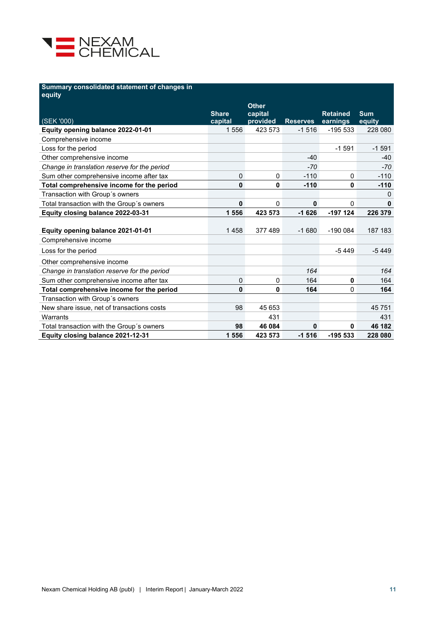

#### **Summary consolidated statement of changes in**

| equity                                       |                         |                     |                 |                             |                      |
|----------------------------------------------|-------------------------|---------------------|-----------------|-----------------------------|----------------------|
|                                              |                         | <b>Other</b>        |                 |                             |                      |
| (SEK '000)                                   | <b>Share</b><br>capital | capital<br>provided | <b>Reserves</b> | <b>Retained</b><br>earnings | <b>Sum</b><br>equity |
| Equity opening balance 2022-01-01            | 1556                    | 423 573             | $-1516$         | -195 533                    | 228 080              |
| Comprehensive income                         |                         |                     |                 |                             |                      |
| Loss for the period                          |                         |                     |                 | $-1591$                     | $-1591$              |
| Other comprehensive income                   |                         |                     | $-40$           |                             | $-40$                |
| Change in translation reserve for the period |                         |                     | $-70$           |                             | -70                  |
| Sum other comprehensive income after tax     | 0                       | 0                   | $-110$          | $\Omega$                    | $-110$               |
| Total comprehensive income for the period    | 0                       | 0                   | $-110$          | $\mathbf{0}$                | $-110$               |
| Transaction with Group's owners              |                         |                     |                 |                             | 0                    |
| Total transaction with the Group's owners    | 0                       | 0                   | $\mathbf{0}$    | $\Omega$                    | 0                    |
| Equity closing balance 2022-03-31            | 1 556                   | 423 573             | $-1626$         | $-197$ 124                  | 226 379              |
|                                              |                         |                     |                 |                             |                      |
| Equity opening balance 2021-01-01            | 1458                    | 377489              | $-1680$         | $-1900084$                  | 187 183              |
| Comprehensive income                         |                         |                     |                 |                             |                      |
| Loss for the period                          |                         |                     |                 | $-5449$                     | $-5449$              |
| Other comprehensive income                   |                         |                     |                 |                             |                      |
| Change in translation reserve for the period |                         |                     | 164             |                             | 164                  |
| Sum other comprehensive income after tax     | 0                       | 0                   | 164             | $\mathbf 0$                 | 164                  |
| Total comprehensive income for the period    | 0                       | 0                   | 164             | 0                           | 164                  |
| Transaction with Group´s owners              |                         |                     |                 |                             |                      |
| New share issue, net of transactions costs   | 98                      | 45 653              |                 |                             | 45751                |
| Warrants                                     |                         | 431                 |                 |                             | 431                  |
| Total transaction with the Group's owners    | 98                      | 46 084              | 0               | $\mathbf 0$                 | 46 182               |
| Equity closing balance 2021-12-31            | 1 556                   | 423 573             | $-1516$         | $-195533$                   | 228 080              |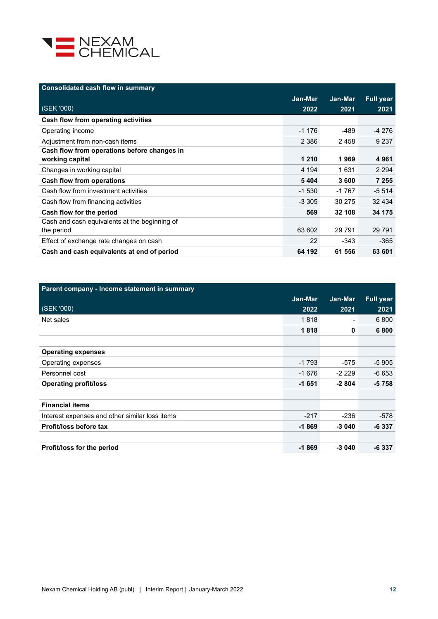

| <b>Consolidated cash flow in summary</b>      |          |         |                  |
|-----------------------------------------------|----------|---------|------------------|
|                                               | Jan-Mar  | Jan-Mar | <b>Full year</b> |
| (SEK '000)                                    | 2022     | 2021    | 2021             |
| Cash flow from operating activities           |          |         |                  |
| Operating income                              | $-1176$  | -489    | $-4276$          |
| Adjustment from non-cash items                | 2 3 8 6  | 2458    | 9 2 3 7          |
| Cash flow from operations before changes in   |          |         |                  |
| working capital                               | 1 2 1 0  | 1969    | 4961             |
| Changes in working capital                    | 4 1 9 4  | 1631    | 2 2 9 4          |
| <b>Cash flow from operations</b>              | 5404     | 3600    | 7 2 5 5          |
| Cash flow from investment activities          | $-1530$  | $-1767$ | $-5514$          |
| Cash flow from financing activities           | $-3.305$ | 30 275  | 32 4 34          |
| Cash flow for the period                      | 569      | 32 108  | 34 175           |
| Cash and cash equivalents at the beginning of |          |         |                  |
| the period                                    | 63 602   | 29 791  | 29 7 91          |
| Effect of exchange rate changes on cash       | 22       | -343    | -365             |
| Cash and cash equivalents at end of period    | 64 192   | 61 556  | 63 601           |

| Parent company - Income statement in summary   |         |                          |           |
|------------------------------------------------|---------|--------------------------|-----------|
|                                                | Jan-Mar | Jan-Mar                  | Full year |
| (SEK '000)                                     | 2022    | 2021                     | 2021      |
| Net sales                                      | 1818    | $\overline{\phantom{a}}$ | 6800      |
|                                                | 1818    | 0                        | 6800      |
|                                                |         |                          |           |
| <b>Operating expenses</b>                      |         |                          |           |
| Operating expenses                             | $-1793$ | -575                     | $-5905$   |
| Personnel cost                                 | $-1676$ | $-2229$                  | $-6653$   |
| <b>Operating profit/loss</b>                   | $-1651$ | $-2804$                  | -5 758    |
|                                                |         |                          |           |
| <b>Financial items</b>                         |         |                          |           |
| Interest expenses and other similar loss items | $-217$  | $-236$                   | -578      |
| Profit/loss before tax                         | $-1869$ | $-3040$                  | $-6337$   |
|                                                |         |                          |           |
| Profit/loss for the period                     | $-1869$ | $-3040$                  | $-6337$   |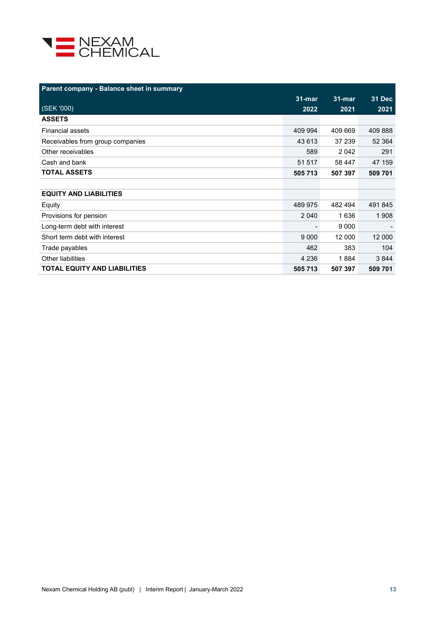

| Parent company - Balance sheet in summary |            |           |               |
|-------------------------------------------|------------|-----------|---------------|
|                                           | $31 - mar$ | $31$ -mar | <b>31 Dec</b> |
| (SEK '000)                                | 2022       | 2021      | 2021          |
| <b>ASSETS</b>                             |            |           |               |
| <b>Financial assets</b>                   | 409 994    | 409 669   | 409 888       |
| Receivables from group companies          | 43 613     | 37 239    | 52 364        |
| Other receivables                         | 589        | 2 0 4 2   | 291           |
| Cash and bank                             | 51 517     | 58 447    | 47 159        |
| <b>TOTAL ASSETS</b>                       | 505 713    | 507 397   | 509 701       |
|                                           |            |           |               |
| <b>EQUITY AND LIABILITIES</b>             |            |           |               |
| Equity                                    | 489 975    | 482 494   | 491 845       |
| Provisions for pension                    | 2 0 4 0    | 1636      | 1 908         |
| Long-term debt with interest              |            | 9 0 0 0   |               |
| Short term debt with interest             | 9 0 0 0    | 12 000    | 12 000        |
| Trade payables                            | 462        | 383       | 104           |
| Other liabilities                         | 4 2 3 6    | 1884      | 3844          |
| <b>TOTAL EQUITY AND LIABILITIES</b>       | 505 713    | 507 397   | 509 701       |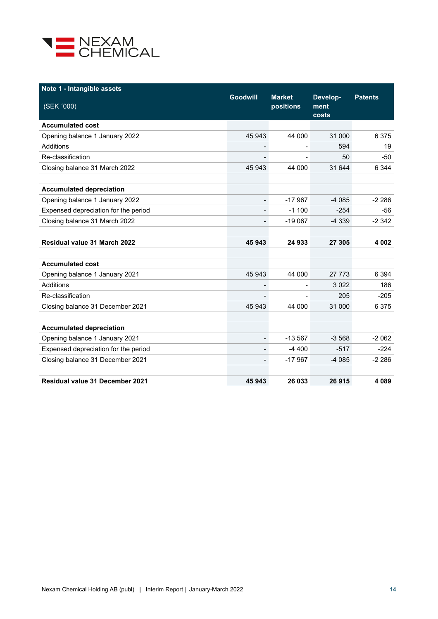

| Note 1 - Intangible assets             |                              |                            |                           |                |
|----------------------------------------|------------------------------|----------------------------|---------------------------|----------------|
| (SEK '000)                             | <b>Goodwill</b>              | <b>Market</b><br>positions | Develop-<br>ment<br>costs | <b>Patents</b> |
| <b>Accumulated cost</b>                |                              |                            |                           |                |
| Opening balance 1 January 2022         | 45 943                       | 44 000                     | 31 000                    | 6375           |
| Additions                              |                              |                            | 594                       | 19             |
| Re-classification                      |                              |                            | 50                        | -50            |
| Closing balance 31 March 2022          | 45 943                       | 44 000                     | 31 644                    | 6 3 4 4        |
| <b>Accumulated depreciation</b>        |                              |                            |                           |                |
| Opening balance 1 January 2022         | $\overline{\phantom{0}}$     | $-17967$                   | $-4085$                   | $-2286$        |
| Expensed depreciation for the period   | $\overline{\phantom{0}}$     | $-1100$                    | $-254$                    | -56            |
| Closing balance 31 March 2022          |                              | $-19067$                   | $-4339$                   | $-2342$        |
| <b>Residual value 31 March 2022</b>    | 45 943                       | 24 933                     | 27 305                    | 4 0 0 2        |
| <b>Accumulated cost</b>                |                              |                            |                           |                |
| Opening balance 1 January 2021         | 45 943                       | 44 000                     | 27 773                    | 6 3 9 4        |
| Additions                              |                              |                            | 3022                      | 186            |
| Re-classification                      | $\overline{\phantom{0}}$     |                            | 205                       | $-205$         |
| Closing balance 31 December 2021       | 45 943                       | 44 000                     | 31 000                    | 6375           |
| <b>Accumulated depreciation</b>        |                              |                            |                           |                |
| Opening balance 1 January 2021         | $\qquad \qquad \blacksquare$ | $-13567$                   | $-3568$                   | $-2062$        |
| Expensed depreciation for the period   | $\overline{a}$               | $-4400$                    | $-517$                    | $-224$         |
| Closing balance 31 December 2021       | $\overline{\phantom{0}}$     | $-17967$                   | $-4085$                   | $-2286$        |
| <b>Residual value 31 December 2021</b> | 45 943                       | 26 033                     | 26915                     | 4089           |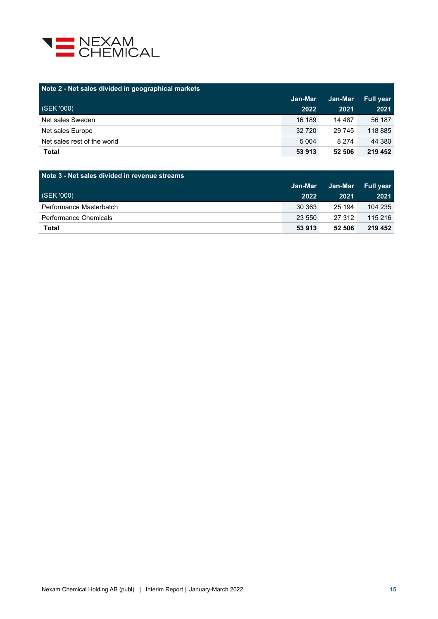

| Note 2 - Net sales divided in geographical markets |         |          |                  |
|----------------------------------------------------|---------|----------|------------------|
|                                                    | Jan-Mar | Jan-Mar  | <b>Full year</b> |
| (SEK '000)                                         | 2022    | 2021     | 2021             |
| Net sales Sweden                                   | 16 189  | 14 4 8 7 | 56 187           |
| Net sales Europe                                   | 32 7 20 | 29 745   | 118 885          |
| Net sales rest of the world                        | 5 0 0 4 | 8 2 7 4  | 44 380           |
| <b>Total</b>                                       | 53 913  | 52 506   | 219 452          |

| Note 3 - Net sales divided in revenue streams |         |         |           |  |  |
|-----------------------------------------------|---------|---------|-----------|--|--|
|                                               | Jan-Mar | Jan-Mar | Full year |  |  |
| (SEK'000)                                     | 2022    | 2021    | 2021      |  |  |
| Performance Masterbatch                       | 30 363  | 25 194  | 104 235   |  |  |
| Performance Chemicals                         | 23 550  | 27 312  | 115 216   |  |  |
| Total                                         | 53 913  | 52 506  | 219 452   |  |  |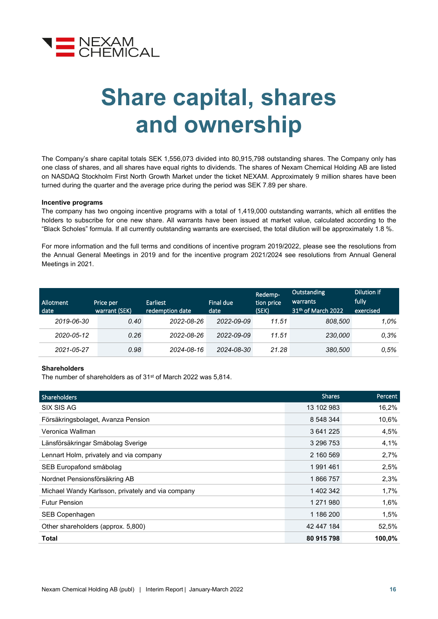

## **Share capital, shares and ownership**

The Company's share capital totals SEK 1,556,073 divided into 80,915,798 outstanding shares. The Company only has one class of shares, and all shares have equal rights to dividends. The shares of Nexam Chemical Holding AB are listed on NASDAQ Stockholm First North Growth Market under the ticket NEXAM. Approximately 9 million shares have been turned during the quarter and the average price during the period was SEK 7.89 per share.

#### **Incentive programs**

The company has two ongoing incentive programs with a total of 1,419,000 outstanding warrants, which all entitles the holders to subscribe for one new share. All warrants have been issued at market value, calculated according to the "Black Scholes" formula. If all currently outstanding warrants are exercised, the total dilution will be approximately 1.8 %.

For more information and the full terms and conditions of incentive program 2019/2022, please see the resolutions from the Annual General Meetings in [2019](http://www.nexamchemical.com/secure/CMS/?language=en#context=epi.cms.contentdata:///245&viewsetting=active:///true) and for the incentive program 2021/2024 see resolutions from Annual General Meetings in 2021.

| Allotment<br>date | Price per<br>warrant (SEK) | <b>Earliest</b><br>redemption date | Final due<br>date | Redemp-<br>tion price<br>(SEK) | Outstanding<br>warrants<br>31 <sup>th</sup> of March 2022 | Dilution if<br>fully<br>exercised |
|-------------------|----------------------------|------------------------------------|-------------------|--------------------------------|-----------------------------------------------------------|-----------------------------------|
| 2019-06-30        | 0.40                       | 2022-08-26                         | 2022-09-09        | 11.51                          | 808.500                                                   | 1.0%                              |
| 2020-05-12        | 0.26                       | 2022-08-26                         | 2022-09-09        | 11.51                          | 230,000                                                   | 0.3%                              |
| 2021-05-27        | 0.98                       | 2024-08-16                         | 2024-08-30        | 21.28                          | 380,500                                                   | 0.5%                              |

#### **Shareholders**

The number of shareholders as of 31st of March 2022 was 5,814.

| <b>Shareholders</b>                               | <b>Shares</b> | Percent |
|---------------------------------------------------|---------------|---------|
| SIX SIS AG                                        | 13 102 983    | 16,2%   |
| Försäkringsbolaget, Avanza Pension                | 8 548 344     | 10,6%   |
| Veronica Wallman                                  | 3 641 225     | 4,5%    |
| Länsförsäkringar Småbolag Sverige                 | 3 296 753     | 4,1%    |
| Lennart Holm, privately and via company           | 2 160 569     | 2,7%    |
| SEB Europafond småbolag                           | 1991461       | 2,5%    |
| Nordnet Pensionsförsäkring AB                     | 1866757       | 2,3%    |
| Michael Wandy Karlsson, privately and via company | 1 402 342     | 1,7%    |
| <b>Futur Pension</b>                              | 1 271 980     | 1,6%    |
| SEB Copenhagen                                    | 1 186 200     | 1,5%    |
| Other shareholders (approx. 5,800)                | 42 447 184    | 52,5%   |
| Total                                             | 80 915 798    | 100,0%  |